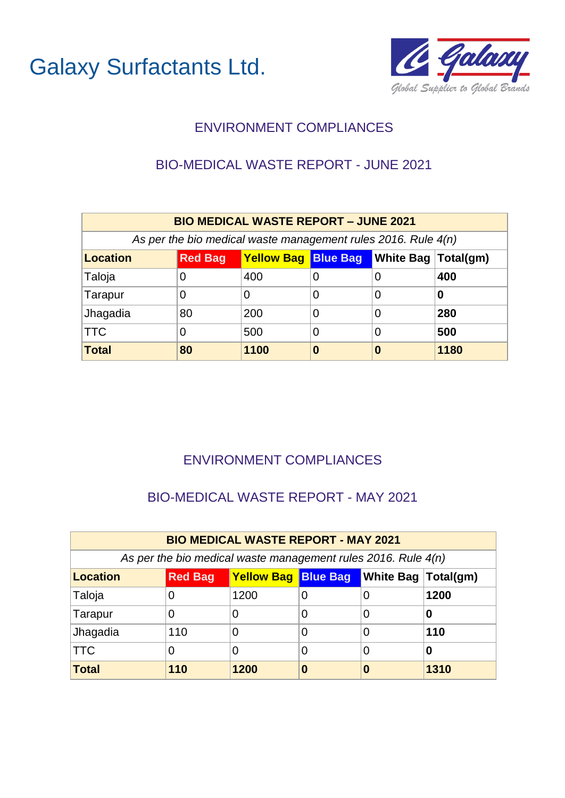



## BIO-MEDICAL WASTE REPORT - JUNE 2021

| <b>BIO MEDICAL WASTE REPORT - JUNE 2021</b> |                                                                            |                                                                 |   |   |      |  |  |  |  |
|---------------------------------------------|----------------------------------------------------------------------------|-----------------------------------------------------------------|---|---|------|--|--|--|--|
|                                             |                                                                            | As per the bio medical waste management rules 2016. Rule $4(n)$ |   |   |      |  |  |  |  |
| <b>Location</b>                             | <b>Yellow Bag Blue Bag</b><br><b>White Bag Total(gm)</b><br><b>Red Bag</b> |                                                                 |   |   |      |  |  |  |  |
| Taloja                                      |                                                                            | 400                                                             |   | 0 | 400  |  |  |  |  |
| Tarapur                                     |                                                                            | O                                                               | 0 | 0 | 0    |  |  |  |  |
| Jhagadia                                    | 80                                                                         | 200                                                             | 0 | 0 | 280  |  |  |  |  |
| <b>TTC</b>                                  |                                                                            | 500                                                             | 0 | 0 | 500  |  |  |  |  |
| <b>Total</b>                                | 80                                                                         | 1100                                                            | O | 0 | 1180 |  |  |  |  |

## ENVIRONMENT COMPLIANCES

#### BIO-MEDICAL WASTE REPORT - MAY 2021

| <b>BIO MEDICAL WASTE REPORT - MAY 2021</b>                                        |     |                                                                 |   |   |      |  |  |  |  |
|-----------------------------------------------------------------------------------|-----|-----------------------------------------------------------------|---|---|------|--|--|--|--|
|                                                                                   |     | As per the bio medical waste management rules 2016. Rule $4(n)$ |   |   |      |  |  |  |  |
| <b>Yellow Bag Blue Bag</b><br>White Bag   Total(gm)<br><b>Red Bag</b><br>Location |     |                                                                 |   |   |      |  |  |  |  |
| Taloja                                                                            | 0   | 1200                                                            |   |   | 1200 |  |  |  |  |
| Tarapur                                                                           | 0   | O                                                               |   |   |      |  |  |  |  |
| Jhagadia                                                                          | 110 | 0                                                               |   | 0 | 110  |  |  |  |  |
| $\sf{ITC}$                                                                        | 0   | 0                                                               | 0 | 0 | 0    |  |  |  |  |
| Total                                                                             | 110 | 1200                                                            |   | O | 1310 |  |  |  |  |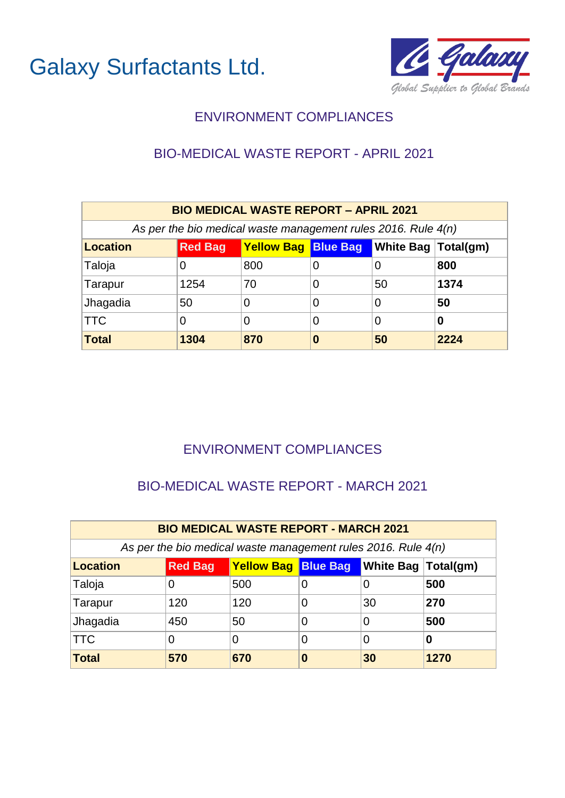



## BIO-MEDICAL WASTE REPORT - APRIL 2021

| <b>BIO MEDICAL WASTE REPORT - APRIL 2021</b> |                                                                  |                                                                 |   |    |      |  |  |  |  |
|----------------------------------------------|------------------------------------------------------------------|-----------------------------------------------------------------|---|----|------|--|--|--|--|
|                                              |                                                                  | As per the bio medical waste management rules 2016. Rule $4(n)$ |   |    |      |  |  |  |  |
| <b>Location</b>                              | <b>Yellow Bag Blue Bag White Bag Total(gm)</b><br><b>Red Bag</b> |                                                                 |   |    |      |  |  |  |  |
| Taloja                                       | O                                                                | 800                                                             | O | 0  | 800  |  |  |  |  |
| Tarapur                                      | 1254                                                             | 70                                                              | O | 50 | 1374 |  |  |  |  |
| Jhagadia                                     | 50                                                               | 0                                                               | 0 | 0  | 50   |  |  |  |  |
| <b>TTC</b>                                   | 0<br>0<br>0<br>0<br>0                                            |                                                                 |   |    |      |  |  |  |  |
| <b>Total</b>                                 | 1304                                                             | 870                                                             | 0 | 50 | 2224 |  |  |  |  |

## ENVIRONMENT COMPLIANCES

#### BIO-MEDICAL WASTE REPORT - MARCH 2021

| <b>BIO MEDICAL WASTE REPORT - MARCH 2021</b> |                                                                           |     |   |    |      |  |  |  |  |
|----------------------------------------------|---------------------------------------------------------------------------|-----|---|----|------|--|--|--|--|
|                                              | As per the bio medical waste management rules 2016. Rule $4(n)$           |     |   |    |      |  |  |  |  |
| <b>Location</b>                              | <b>Yellow Bag Blue Bag</b><br><b>Nite Bag Total(gm)</b><br><b>Red Bag</b> |     |   |    |      |  |  |  |  |
| Taloja                                       | 0                                                                         | 500 |   |    | 500  |  |  |  |  |
| Tarapur                                      | 120                                                                       | 120 |   | 30 | 270  |  |  |  |  |
| Jhagadia                                     | 450                                                                       | 50  | 0 | 0  | 500  |  |  |  |  |
| <b>TTC</b>                                   | 0<br>0<br>O<br>0<br>O                                                     |     |   |    |      |  |  |  |  |
| Total                                        | 570                                                                       | 670 | 0 | 30 | 1270 |  |  |  |  |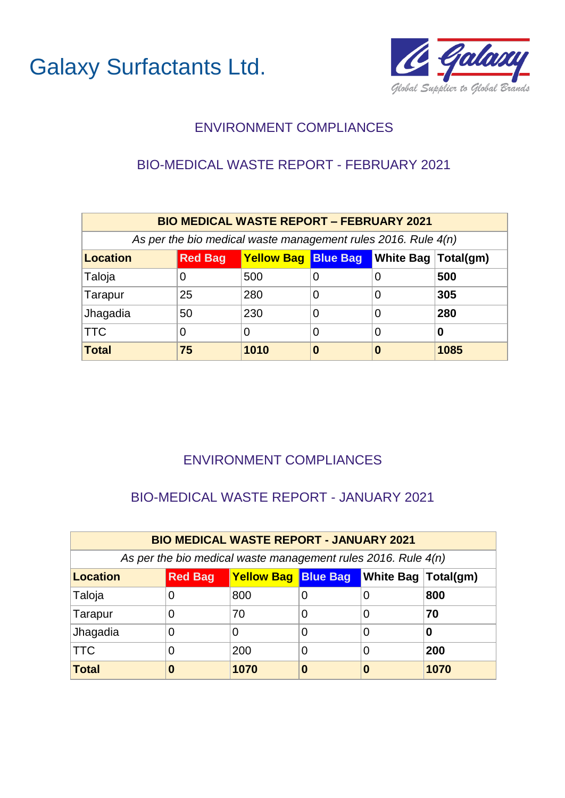



#### BIO-MEDICAL WASTE REPORT - FEBRUARY 2021

| <b>BIO MEDICAL WASTE REPORT - FEBRUARY 2021</b>                                          |    |                                                                 |   |   |      |  |  |  |  |
|------------------------------------------------------------------------------------------|----|-----------------------------------------------------------------|---|---|------|--|--|--|--|
|                                                                                          |    | As per the bio medical waste management rules 2016. Rule $4(n)$ |   |   |      |  |  |  |  |
| <b>Yellow Bag Blue Bag</b><br>White Bag   Total(gm)<br><b>Red Bag</b><br><b>Location</b> |    |                                                                 |   |   |      |  |  |  |  |
| Taloja                                                                                   |    | 500                                                             |   | 0 | 500  |  |  |  |  |
| Tarapur                                                                                  | 25 | 280                                                             | 0 | 0 | 305  |  |  |  |  |
| Jhagadia                                                                                 | 50 | 230                                                             | 0 | 0 | 280  |  |  |  |  |
| <b>TTC</b>                                                                               |    | 0                                                               | 0 | 0 | 0    |  |  |  |  |
| <b>Total</b>                                                                             | 75 | 1010                                                            | 0 | 0 | 1085 |  |  |  |  |

## ENVIRONMENT COMPLIANCES

#### BIO-MEDICAL WASTE REPORT - JANUARY 2021

| <b>BIO MEDICAL WASTE REPORT - JANUARY 2021</b> |                                                                              |                                                                 |   |  |      |  |  |  |  |
|------------------------------------------------|------------------------------------------------------------------------------|-----------------------------------------------------------------|---|--|------|--|--|--|--|
|                                                |                                                                              | As per the bio medical waste management rules 2016. Rule $4(n)$ |   |  |      |  |  |  |  |
| <b>Location</b>                                | <b>White Bag   Total(gm)</b><br><b>Red Bag</b><br><b>Yellow Bag Blue Bag</b> |                                                                 |   |  |      |  |  |  |  |
| Taloja                                         | 0                                                                            | 800                                                             |   |  | 800  |  |  |  |  |
| Tarapur                                        | 0                                                                            | 70                                                              |   |  | 70   |  |  |  |  |
| Jhagadia                                       | 0                                                                            | 0                                                               |   |  | 0    |  |  |  |  |
| <b>TTC</b>                                     | 0                                                                            | 200                                                             | 0 |  | 200  |  |  |  |  |
| Total                                          | 0                                                                            | 1070                                                            | 0 |  | 1070 |  |  |  |  |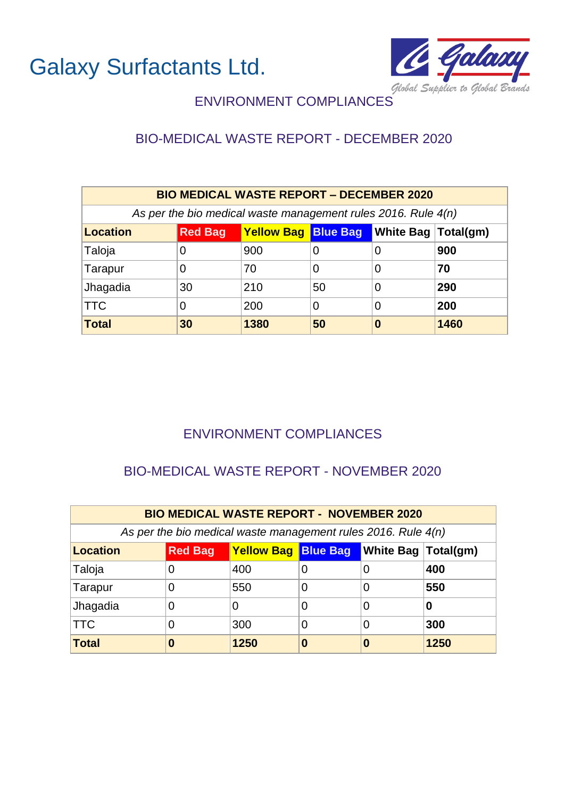

## ENVIRONMENT COMPLIANCES

## BIO-MEDICAL WASTE REPORT - DECEMBER 2020

| <b>BIO MEDICAL WASTE REPORT - DECEMBER 2020</b>                 |                                                                  |      |    |   |      |  |  |  |  |
|-----------------------------------------------------------------|------------------------------------------------------------------|------|----|---|------|--|--|--|--|
| As per the bio medical waste management rules 2016. Rule $4(n)$ |                                                                  |      |    |   |      |  |  |  |  |
| <b>Location</b>                                                 | <b>Yellow Bag Blue Bag White Bag Total(gm)</b><br><b>Red Bag</b> |      |    |   |      |  |  |  |  |
| Taloja                                                          | O                                                                | 900  | 0  | 0 | 900  |  |  |  |  |
| Tarapur                                                         | O                                                                | 70   | 0  | 0 | 70   |  |  |  |  |
| Jhagadia                                                        | 30                                                               | 210  | 50 | 0 | 290  |  |  |  |  |
| <b>TTC</b>                                                      | 200<br>200<br>0<br>0<br>0                                        |      |    |   |      |  |  |  |  |
| <b>Total</b>                                                    | 30                                                               | 1380 | 50 | 0 | 1460 |  |  |  |  |

#### ENVIRONMENT COMPLIANCES

## BIO-MEDICAL WASTE REPORT - NOVEMBER 2020

| <b>BIO MEDICAL WASTE REPORT - NOVEMBER 2020</b> |                                                                  |      |   |   |      |  |  |  |  |
|-------------------------------------------------|------------------------------------------------------------------|------|---|---|------|--|--|--|--|
|                                                 | As per the bio medical waste management rules 2016. Rule $4(n)$  |      |   |   |      |  |  |  |  |
| <b>Location</b>                                 | <b>Yellow Bag Blue Bag White Bag Total(gm)</b><br><b>Red Bag</b> |      |   |   |      |  |  |  |  |
| Taloja                                          | 0                                                                | 400  |   |   | 400  |  |  |  |  |
| Tarapur                                         | 0                                                                | 550  |   |   | 550  |  |  |  |  |
| Jhagadia                                        | 0                                                                | 0    | 0 | O | 0    |  |  |  |  |
| <b>TTC</b>                                      | 0                                                                | 300  |   |   | 300  |  |  |  |  |
| Total                                           | 0                                                                | 1250 | 0 | O | 1250 |  |  |  |  |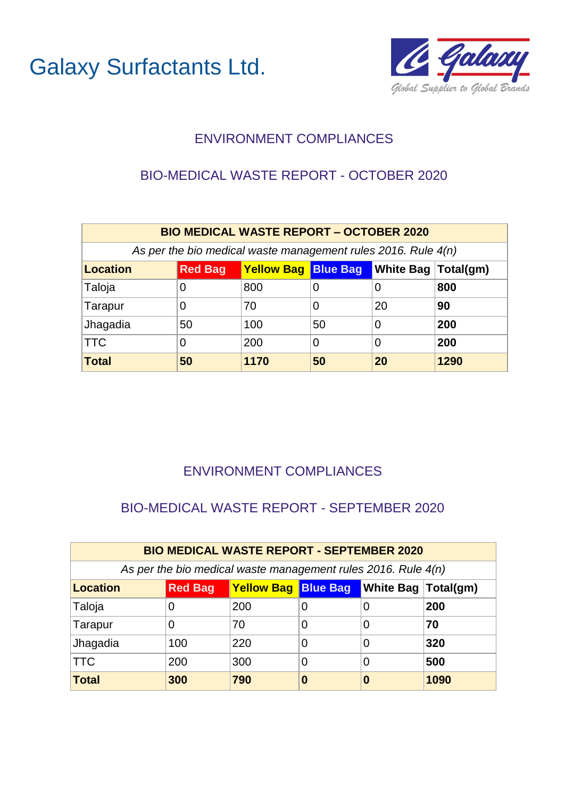

## ENVIRONMENT COMPLIANCES

## BIO-MEDICAL WASTE REPORT - OCTOBER 2020

| <b>BIO MEDICAL WASTE REPORT - OCTOBER 2020</b>                                      |    |                                                               |    |    |      |  |  |  |  |
|-------------------------------------------------------------------------------------|----|---------------------------------------------------------------|----|----|------|--|--|--|--|
|                                                                                     |    | As per the bio medical waste management rules 2016. Rule 4(n) |    |    |      |  |  |  |  |
| <b>Yellow Bag Blue Bag White Bag Total(gm)</b><br><b>Location</b><br><b>Red Bag</b> |    |                                                               |    |    |      |  |  |  |  |
| Taloja                                                                              | O  | 800                                                           | O  | 0  | 800  |  |  |  |  |
| Tarapur                                                                             | 0  | 70                                                            | O  | 20 | 90   |  |  |  |  |
| Jhagadia                                                                            | 50 | 100                                                           | 50 | 0  | 200  |  |  |  |  |
| <b>TTC</b>                                                                          | 0  | 200                                                           | 0  | 0  | 200  |  |  |  |  |
| <b>Total</b>                                                                        | 50 | 1170                                                          | 50 | 20 | 1290 |  |  |  |  |

## ENVIRONMENT COMPLIANCES

## BIO-MEDICAL WASTE REPORT - SEPTEMBER 2020

| <b>BIO MEDICAL WASTE REPORT - SEPTEMBER 2020</b>                      |     |                                                                 |   |   |      |  |  |  |  |
|-----------------------------------------------------------------------|-----|-----------------------------------------------------------------|---|---|------|--|--|--|--|
|                                                                       |     | As per the bio medical waste management rules 2016. Rule $4(n)$ |   |   |      |  |  |  |  |
| Yellow Bag Blue Bag White Bag Total(gm)<br><b>Red Bag</b><br>Location |     |                                                                 |   |   |      |  |  |  |  |
| Taloja                                                                | 0   | 200                                                             |   | O | 200  |  |  |  |  |
| Tarapur                                                               | 0   | 70                                                              |   |   | 70   |  |  |  |  |
| Jhagadia                                                              | 100 | 220                                                             |   | 0 | 320  |  |  |  |  |
| $\sf{ITC}$                                                            | 200 | 300                                                             | 0 | 0 | 500  |  |  |  |  |
| Total                                                                 | 300 | 790                                                             | 0 | 0 | 1090 |  |  |  |  |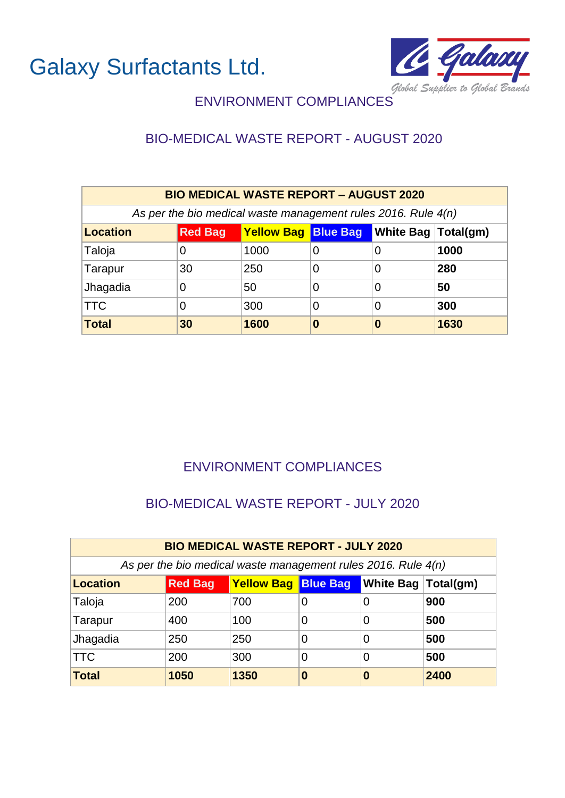

# ENVIRONMENT COMPLIANCES

# BIO-MEDICAL WASTE REPORT - AUGUST 2020

| <b>BIO MEDICAL WASTE REPORT - AUGUST 2020</b>                                            |                                                                 |      |   |   |      |  |  |  |  |
|------------------------------------------------------------------------------------------|-----------------------------------------------------------------|------|---|---|------|--|--|--|--|
|                                                                                          | As per the bio medical waste management rules 2016. Rule $4(n)$ |      |   |   |      |  |  |  |  |
| <b>Yellow Bag Blue Bag</b><br>White Bag   Total(gm)<br><b>Red Bag</b><br><b>Location</b> |                                                                 |      |   |   |      |  |  |  |  |
| Taloja                                                                                   |                                                                 | 1000 | 0 | 0 | 1000 |  |  |  |  |
| Tarapur                                                                                  | 30                                                              | 250  | 0 | 0 | 280  |  |  |  |  |
| Jhagadia                                                                                 |                                                                 | 50   | 0 | 0 | 50   |  |  |  |  |
| <b>TTC</b>                                                                               | 300<br>300<br>0<br>0                                            |      |   |   |      |  |  |  |  |
| <b>Total</b>                                                                             | 30                                                              | 1600 | 0 | 0 | 1630 |  |  |  |  |

#### ENVIRONMENT COMPLIANCES

#### BIO-MEDICAL WASTE REPORT - JULY 2020

| <b>BIO MEDICAL WASTE REPORT - JULY 2020</b> |                                                                       |                                                                 |     |   |      |  |  |  |  |
|---------------------------------------------|-----------------------------------------------------------------------|-----------------------------------------------------------------|-----|---|------|--|--|--|--|
|                                             |                                                                       | As per the bio medical waste management rules 2016. Rule $4(n)$ |     |   |      |  |  |  |  |
| Location                                    | <b>Yellow Bag Blue Bag</b><br>White Bag   Total(gm)<br><b>Red Bag</b> |                                                                 |     |   |      |  |  |  |  |
| Taloja                                      | 200                                                                   | 700                                                             |     | 0 | 900  |  |  |  |  |
| Tarapur                                     | 400                                                                   | 100                                                             | 0   | 0 | 500  |  |  |  |  |
| Jhagadia                                    | 250                                                                   | 250                                                             | 500 |   |      |  |  |  |  |
| <b>TTC</b>                                  | 200                                                                   | 300                                                             | 0   | 0 | 500  |  |  |  |  |
| Total                                       | 1050                                                                  | 1350                                                            | 0   | 0 | 2400 |  |  |  |  |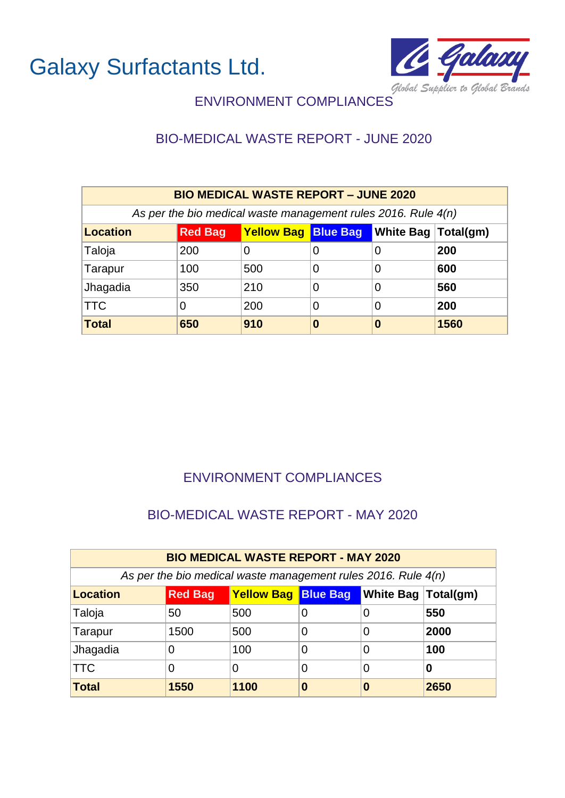

## ENVIRONMENT COMPLIANCES

## BIO-MEDICAL WASTE REPORT - JUNE 2020

| <b>BIO MEDICAL WASTE REPORT - JUNE 2020</b>                                                   |                                                                 |     |   |   |      |  |  |  |  |
|-----------------------------------------------------------------------------------------------|-----------------------------------------------------------------|-----|---|---|------|--|--|--|--|
|                                                                                               | As per the bio medical waste management rules 2016. Rule $4(n)$ |     |   |   |      |  |  |  |  |
| <b>Yellow Bag Blue Bag</b><br><b>Red Bag</b><br><b>White Bag Total(gm)</b><br><b>Location</b> |                                                                 |     |   |   |      |  |  |  |  |
| Taloja                                                                                        | 200                                                             | 0   | 0 | 0 | 200  |  |  |  |  |
| Tarapur                                                                                       | 100                                                             | 500 | 0 | 0 | 600  |  |  |  |  |
| Jhagadia                                                                                      | 350                                                             | 210 | 0 | 0 | 560  |  |  |  |  |
| <b>TTC</b>                                                                                    |                                                                 | 200 | 0 | 0 | 200  |  |  |  |  |
| <b>Total</b>                                                                                  | 650                                                             | 910 | 0 | 0 | 1560 |  |  |  |  |

## ENVIRONMENT COMPLIANCES

#### BIO-MEDICAL WASTE REPORT - MAY 2020

| <b>BIO MEDICAL WASTE REPORT - MAY 2020</b>                      |                                                                  |      |          |   |      |  |  |  |  |
|-----------------------------------------------------------------|------------------------------------------------------------------|------|----------|---|------|--|--|--|--|
| As per the bio medical waste management rules 2016. Rule $4(n)$ |                                                                  |      |          |   |      |  |  |  |  |
| Location                                                        | <b>Yellow Bag Blue Bag White Bag Total(gm)</b><br><b>Red Bag</b> |      |          |   |      |  |  |  |  |
| Taloja                                                          | 50                                                               | 500  | 0        | 0 | 550  |  |  |  |  |
| Tarapur                                                         | 1500                                                             | 500  | O        | 0 | 2000 |  |  |  |  |
| Jhagadia                                                        | 0                                                                | 100  | 0        | 0 | 100  |  |  |  |  |
| $\sf{ITC}$                                                      | 0                                                                | 0    | 0        | 0 | 0    |  |  |  |  |
| Total                                                           | 1550                                                             | 1100 | $\bf{0}$ | 0 | 2650 |  |  |  |  |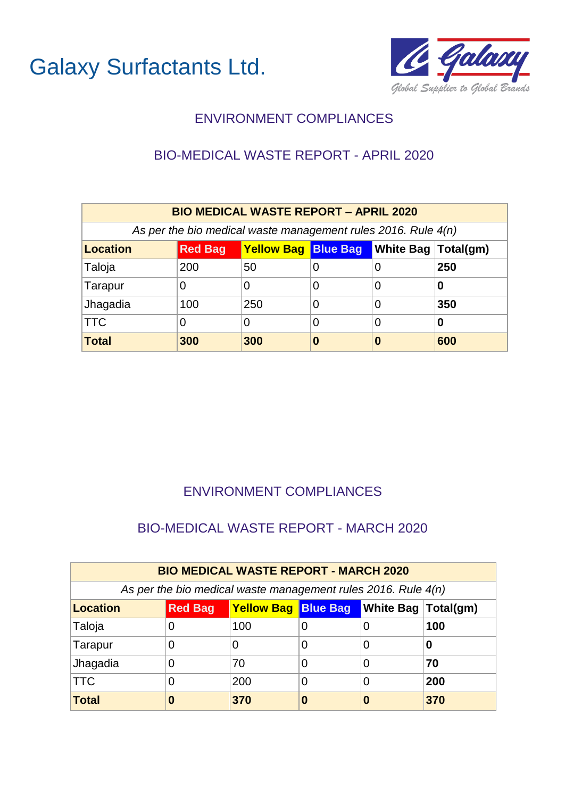



#### BIO-MEDICAL WASTE REPORT - APRIL 2020

| <b>BIO MEDICAL WASTE REPORT - APRIL 2020</b>                                        |     |                                                                 |          |   |     |  |  |  |  |
|-------------------------------------------------------------------------------------|-----|-----------------------------------------------------------------|----------|---|-----|--|--|--|--|
|                                                                                     |     | As per the bio medical waste management rules 2016. Rule $4(n)$ |          |   |     |  |  |  |  |
| <b>Yellow Bag Blue Bag White Bag Total(gm)</b><br><b>Red Bag</b><br><b>Location</b> |     |                                                                 |          |   |     |  |  |  |  |
| Taloja                                                                              | 200 | 50                                                              | $\Omega$ | 0 | 250 |  |  |  |  |
| Tarapur                                                                             | 0   | 0                                                               | O        | 0 | O   |  |  |  |  |
| Jhagadia                                                                            | 100 | 250                                                             | 0        | 0 | 350 |  |  |  |  |
| <b>TTC</b>                                                                          | 0   | 0                                                               | 0        | 0 | 0   |  |  |  |  |
| <b>Total</b>                                                                        | 300 | 300                                                             | 0        | O | 600 |  |  |  |  |

## ENVIRONMENT COMPLIANCES

#### BIO-MEDICAL WASTE REPORT - MARCH 2020

| <b>BIO MEDICAL WASTE REPORT - MARCH 2020</b> |                                                                                |                                                                 |  |          |     |  |  |  |  |
|----------------------------------------------|--------------------------------------------------------------------------------|-----------------------------------------------------------------|--|----------|-----|--|--|--|--|
|                                              |                                                                                | As per the bio medical waste management rules 2016. Rule $4(n)$ |  |          |     |  |  |  |  |
| <b>Location</b>                              | <b>Yellow Bag Blue Bag</b><br><b>N</b> White Bag   Total(gm)<br><b>Red Bag</b> |                                                                 |  |          |     |  |  |  |  |
| Taloja                                       |                                                                                | 100                                                             |  | $\Omega$ | 100 |  |  |  |  |
| Tarapur                                      |                                                                                | 0                                                               |  | O        | 0   |  |  |  |  |
| Jhagadia                                     |                                                                                | 70                                                              |  | 0        | 70  |  |  |  |  |
| $ \mathsf{TTC} $                             |                                                                                | 200                                                             |  | 0        | 200 |  |  |  |  |
| <b>Total</b>                                 | 0                                                                              | 370                                                             |  | O        | 370 |  |  |  |  |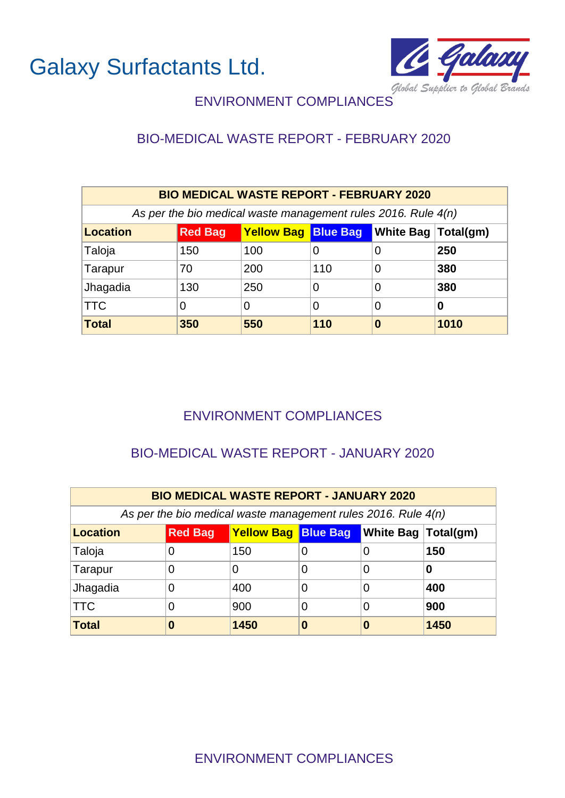

## ENVIRONMENT COMPLIANCES

## BIO-MEDICAL WASTE REPORT - FEBRUARY 2020

| <b>BIO MEDICAL WASTE REPORT - FEBRUARY 2020</b>                 |                                                                  |     |             |   |      |  |  |  |  |
|-----------------------------------------------------------------|------------------------------------------------------------------|-----|-------------|---|------|--|--|--|--|
| As per the bio medical waste management rules 2016. Rule $4(n)$ |                                                                  |     |             |   |      |  |  |  |  |
| <b>Location</b>                                                 | <b>Yellow Bag Blue Bag White Bag Total(gm)</b><br><b>Red Bag</b> |     |             |   |      |  |  |  |  |
| Taloja                                                          | 150                                                              | 100 | 0           | 0 | 250  |  |  |  |  |
| Tarapur                                                         | 70                                                               | 200 | 110         | 0 | 380  |  |  |  |  |
| Jhagadia                                                        | 130                                                              | 250 | 0           | 0 | 380  |  |  |  |  |
| <b>TTC</b>                                                      | 0                                                                | 0   | 0<br>0<br>0 |   |      |  |  |  |  |
| <b>Total</b>                                                    | 350                                                              | 550 | 110         | 0 | 1010 |  |  |  |  |

#### ENVIRONMENT COMPLIANCES

#### BIO-MEDICAL WASTE REPORT - JANUARY 2020

| <b>BIO MEDICAL WASTE REPORT - JANUARY 2020</b>                  |                                                                  |      |  |   |      |  |  |  |  |
|-----------------------------------------------------------------|------------------------------------------------------------------|------|--|---|------|--|--|--|--|
| As per the bio medical waste management rules 2016. Rule $4(n)$ |                                                                  |      |  |   |      |  |  |  |  |
| <b>Location</b>                                                 | <b>Yellow Bag Blue Bag White Bag Total(gm)</b><br><b>Red Bag</b> |      |  |   |      |  |  |  |  |
| Taloja                                                          | 0                                                                | 150  |  | O | 150  |  |  |  |  |
| Tarapur                                                         | 0                                                                | 0    |  | 0 | 0    |  |  |  |  |
| Jhagadia                                                        | 0                                                                | 400  |  | 0 | 400  |  |  |  |  |
| <b>TTC</b>                                                      | 0                                                                | 900  |  | 0 | 900  |  |  |  |  |
| Total                                                           | 0                                                                | 1450 |  | 0 | 1450 |  |  |  |  |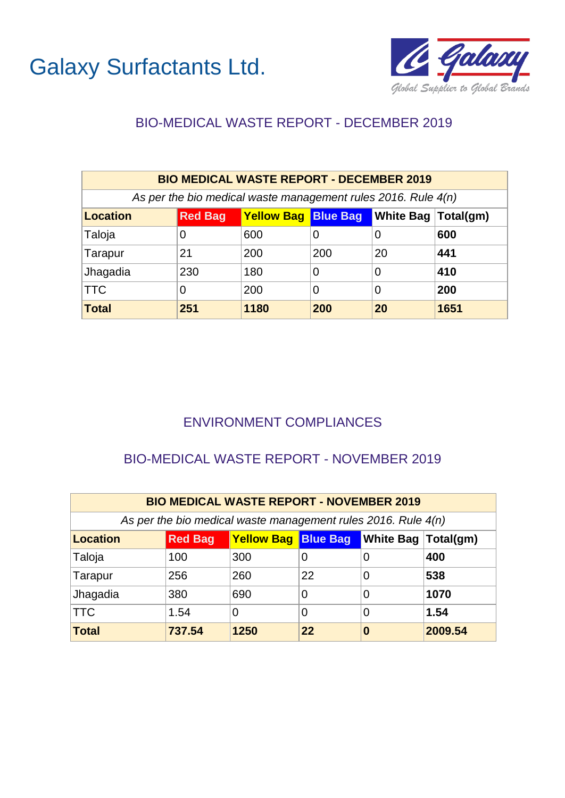



## BIO-MEDICAL WASTE REPORT - DECEMBER 2019

| <b>BIO MEDICAL WASTE REPORT - DECEMBER 2019</b>                 |                                                                  |      |     |    |      |  |  |  |  |
|-----------------------------------------------------------------|------------------------------------------------------------------|------|-----|----|------|--|--|--|--|
| As per the bio medical waste management rules 2016. Rule $4(n)$ |                                                                  |      |     |    |      |  |  |  |  |
| <b>Location</b>                                                 | <b>Yellow Bag Blue Bag White Bag Total(gm)</b><br><b>Red Bag</b> |      |     |    |      |  |  |  |  |
| Taloja                                                          | 0                                                                | 600  | 0   | 0  | 600  |  |  |  |  |
| Tarapur                                                         | 21                                                               | 200  | 200 | 20 | 441  |  |  |  |  |
| Jhagadia                                                        | 230                                                              | 180  | 0   | 0  | 410  |  |  |  |  |
| <b>TTC</b>                                                      | O                                                                | 200  | 0   | 0  | 200  |  |  |  |  |
| <b>Total</b>                                                    | 251                                                              | 1180 | 200 | 20 | 1651 |  |  |  |  |

## ENVIRONMENT COMPLIANCES

#### BIO-MEDICAL WASTE REPORT - NOVEMBER 2019

| <b>BIO MEDICAL WASTE REPORT - NOVEMBER 2019</b> |                                                                               |                                                                 |    |                |         |  |  |  |  |
|-------------------------------------------------|-------------------------------------------------------------------------------|-----------------------------------------------------------------|----|----------------|---------|--|--|--|--|
|                                                 |                                                                               | As per the bio medical waste management rules 2016. Rule $4(n)$ |    |                |         |  |  |  |  |
| Location                                        | <b>Yellow Bag Blue Bag</b><br><b>N</b> hite Bag   Total(gm)<br><b>Red Bag</b> |                                                                 |    |                |         |  |  |  |  |
| Taloja                                          | 100                                                                           | 300                                                             | 0  | 0              | 400     |  |  |  |  |
| Tarapur                                         | 256                                                                           | 260                                                             | 22 | $\overline{0}$ | 538     |  |  |  |  |
| Jhagadia                                        | 380                                                                           | 690                                                             | 0  | 0              | 1070    |  |  |  |  |
| <b>TTC</b>                                      | 1.54                                                                          | 0                                                               | 0  | 0              | 1.54    |  |  |  |  |
| Total                                           | 737.54                                                                        | 1250                                                            | 22 | 0              | 2009.54 |  |  |  |  |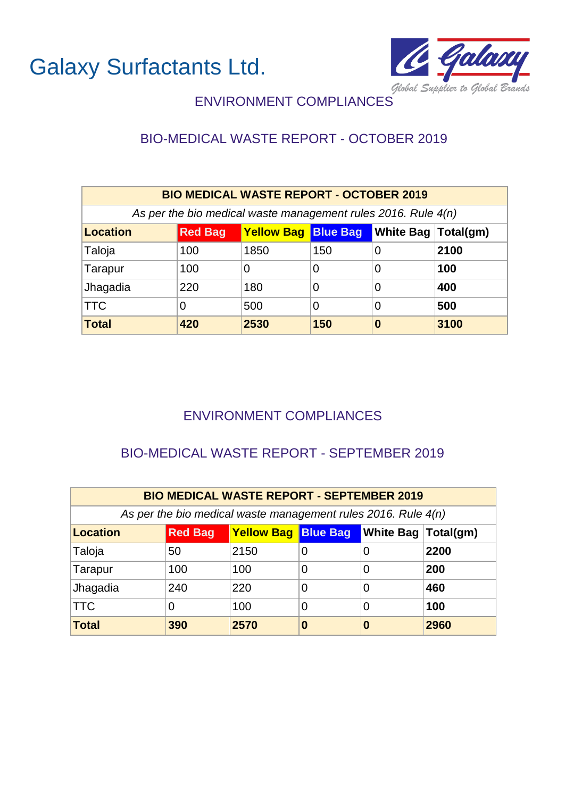

## ENVIRONMENT COMPLIANCES

## BIO-MEDICAL WASTE REPORT - OCTOBER 2019

| <b>BIO MEDICAL WASTE REPORT - OCTOBER 2019</b>                                  |     |      |     |   |      |  |  |  |  |
|---------------------------------------------------------------------------------|-----|------|-----|---|------|--|--|--|--|
| As per the bio medical waste management rules 2016. Rule $4(n)$                 |     |      |     |   |      |  |  |  |  |
| Yellow Bag Blue Bag White Bag<br><b>Location</b><br><b>Red Bag</b><br>Total(gm) |     |      |     |   |      |  |  |  |  |
| Taloja                                                                          | 100 | 1850 | 150 | 0 | 2100 |  |  |  |  |
| Tarapur                                                                         | 100 | 0    | 0   | 0 | 100  |  |  |  |  |
| Jhagadia                                                                        | 220 | 180  | 0   | 0 | 400  |  |  |  |  |
| <b>TTC</b>                                                                      | 0   | 500  | 0   | 0 | 500  |  |  |  |  |
| <b>Total</b>                                                                    | 420 | 2530 | 150 | 0 | 3100 |  |  |  |  |

## ENVIRONMENT COMPLIANCES

## BIO-MEDICAL WASTE REPORT - SEPTEMBER 2019

| <b>BIO MEDICAL WASTE REPORT - SEPTEMBER 2019</b> |                                                                  |      |   |   |      |  |  |  |  |
|--------------------------------------------------|------------------------------------------------------------------|------|---|---|------|--|--|--|--|
|                                                  | As per the bio medical waste management rules 2016. Rule $4(n)$  |      |   |   |      |  |  |  |  |
| Location                                         | <b>Yellow Bag Blue Bag White Bag Total(gm)</b><br><b>Red Bag</b> |      |   |   |      |  |  |  |  |
| Taloja                                           | 50                                                               | 2150 | 0 | O | 2200 |  |  |  |  |
| Tarapur                                          | 100                                                              | 100  |   | 0 | 200  |  |  |  |  |
| Jhagadia                                         | 240                                                              | 220  | 0 | 0 | 460  |  |  |  |  |
| <b>TTC</b>                                       | 0                                                                | 100  |   | 0 | 100  |  |  |  |  |
| Total                                            | 390                                                              | 2570 | O | O | 2960 |  |  |  |  |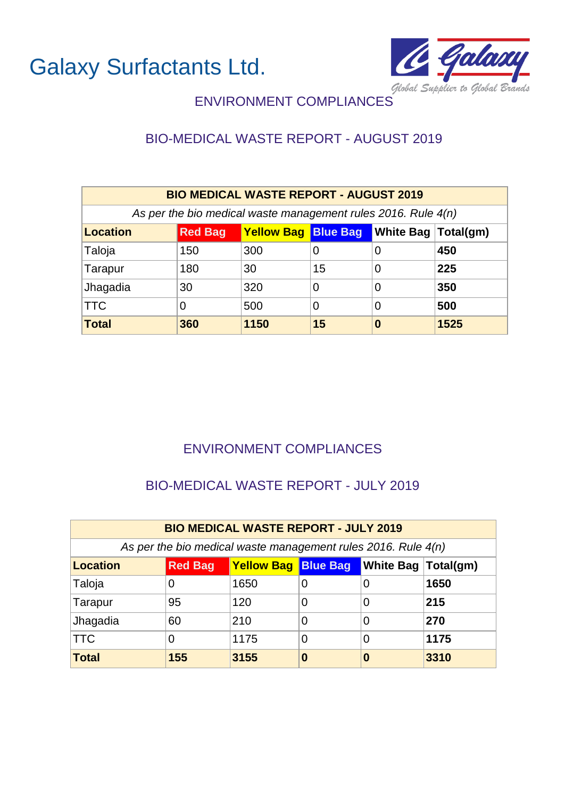

# ENVIRONMENT COMPLIANCES

# BIO-MEDICAL WASTE REPORT - AUGUST 2019

| <b>BIO MEDICAL WASTE REPORT - AUGUST 2019</b>                                            |     |                                                                 |    |          |      |  |  |  |  |
|------------------------------------------------------------------------------------------|-----|-----------------------------------------------------------------|----|----------|------|--|--|--|--|
|                                                                                          |     | As per the bio medical waste management rules 2016. Rule $4(n)$ |    |          |      |  |  |  |  |
| <b>Yellow Bag Blue Bag</b><br>White Bag   Total(gm)<br><b>Red Bag</b><br><b>Location</b> |     |                                                                 |    |          |      |  |  |  |  |
| Taloja                                                                                   | 150 | 300                                                             | 0  | 0        | 450  |  |  |  |  |
| Tarapur                                                                                  | 180 | 30                                                              | 15 | 0        | 225  |  |  |  |  |
| Jhagadia                                                                                 | 30  | 320                                                             | 0  | 0        | 350  |  |  |  |  |
| <b>TTC</b>                                                                               |     | 500                                                             | 0  | 0        | 500  |  |  |  |  |
| <b>Total</b>                                                                             | 360 | 1150                                                            | 15 | $\bf{0}$ | 1525 |  |  |  |  |

## ENVIRONMENT COMPLIANCES

## BIO-MEDICAL WASTE REPORT - JULY 2019

| <b>BIO MEDICAL WASTE REPORT - JULY 2019</b> |                                                                       |                                                                 |   |   |      |  |  |  |  |
|---------------------------------------------|-----------------------------------------------------------------------|-----------------------------------------------------------------|---|---|------|--|--|--|--|
|                                             |                                                                       | As per the bio medical waste management rules 2016. Rule $4(n)$ |   |   |      |  |  |  |  |
| Location                                    | <b>Yellow Bag Blue Bag</b><br>White Bag   Total(gm)<br><b>Red Bag</b> |                                                                 |   |   |      |  |  |  |  |
| Taloja                                      | 0                                                                     | 1650                                                            | 0 | 0 | 1650 |  |  |  |  |
| Tarapur                                     | 95                                                                    | 120                                                             | 0 | 0 | 215  |  |  |  |  |
| Jhagadia                                    | 60                                                                    | 210                                                             | 0 | 0 | 270  |  |  |  |  |
| <b>TTC</b>                                  | O                                                                     | 1175                                                            | 0 | 0 | 1175 |  |  |  |  |
| Total                                       | 155                                                                   | 3155                                                            | 0 | 0 | 3310 |  |  |  |  |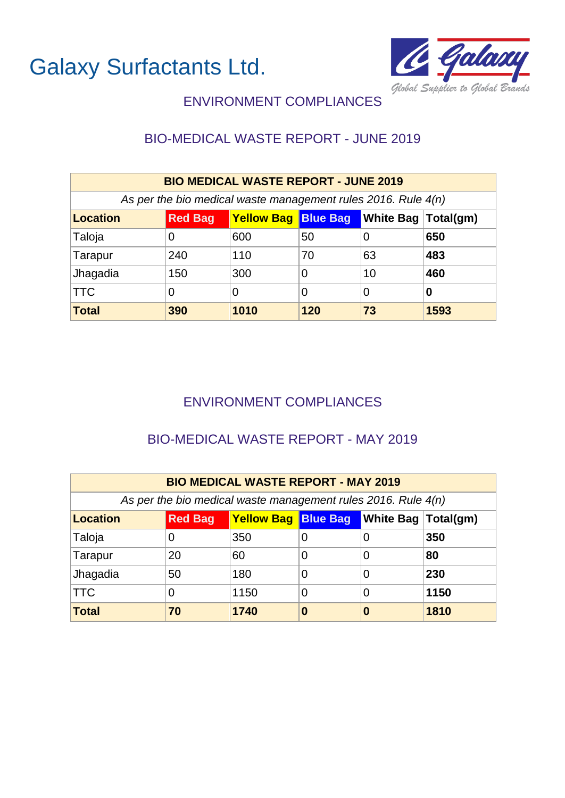



## BIO-MEDICAL WASTE REPORT - JUNE 2019

| <b>BIO MEDICAL WASTE REPORT - JUNE 2019</b>                   |                |                                                |     |    |      |  |
|---------------------------------------------------------------|----------------|------------------------------------------------|-----|----|------|--|
| As per the bio medical waste management rules 2016. Rule 4(n) |                |                                                |     |    |      |  |
| <b>Location</b>                                               | <b>Red Bag</b> | <b>Yellow Bag Blue Bag White Bag Total(gm)</b> |     |    |      |  |
| Taloja                                                        | 0              | 600                                            | 50  | 0  | 650  |  |
| Tarapur                                                       | 240            | 110                                            | 70  | 63 | 483  |  |
| Jhagadia                                                      | 150            | 300                                            | 0   | 10 | 460  |  |
| $ \mathsf{TTC} $                                              | 0              | 0                                              | 0   | 0  | 0    |  |
| Total                                                         | 390            | 1010                                           | 120 | 73 | 1593 |  |

## ENVIRONMENT COMPLIANCES

#### BIO-MEDICAL WASTE REPORT - MAY 2019

| <b>BIO MEDICAL WASTE REPORT - MAY 2019</b>                    |                |                                                |   |   |      |
|---------------------------------------------------------------|----------------|------------------------------------------------|---|---|------|
| As per the bio medical waste management rules 2016. Rule 4(n) |                |                                                |   |   |      |
| <b>Location</b>                                               | <b>Red Bag</b> | <b>Yellow Bag Blue Bag White Bag Total(gm)</b> |   |   |      |
| Taloja                                                        |                | 350                                            | 0 | 0 | 350  |
| Tarapur                                                       | 20             | 60                                             | 0 | 0 | 80   |
| Jhagadia                                                      | 50             | 180                                            | 0 | 0 | 230  |
| <b>TTC</b>                                                    |                | 1150                                           | 0 | 0 | 1150 |
| <b>Total</b>                                                  | 70             | 1740                                           | 0 | 0 | 1810 |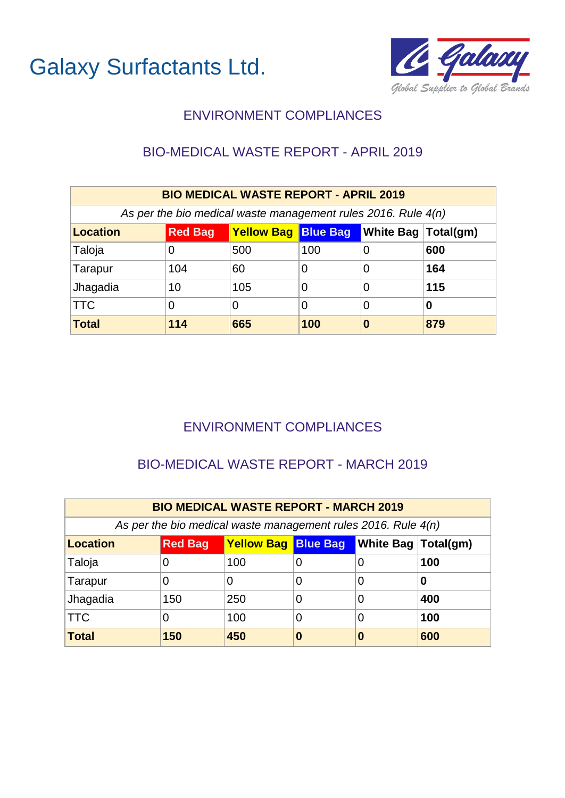

## BIO-MEDICAL WASTE REPORT - APRIL 2019

| <b>BIO MEDICAL WASTE REPORT - APRIL 2019</b>                    |                |                            |     |                            |     |  |
|-----------------------------------------------------------------|----------------|----------------------------|-----|----------------------------|-----|--|
| As per the bio medical waste management rules 2016. Rule $4(n)$ |                |                            |     |                            |     |  |
| Location                                                        | <b>Red Bag</b> | <b>Yellow Bag Blue Bag</b> |     | <b>White Bag Total(gm)</b> |     |  |
| Taloja                                                          | 0              | 500                        | 100 | 0                          | 600 |  |
| Tarapur                                                         | 104            | 60                         | 0   | 0                          | 164 |  |
| Jhagadia                                                        | 10             | 105                        | 0   | 0                          | 115 |  |
| <b>TTC</b>                                                      | O              | 0                          | 0   | 0                          | O   |  |
| Total                                                           | 114            | 665                        | 100 | 0                          | 879 |  |

## ENVIRONMENT COMPLIANCES

## BIO-MEDICAL WASTE REPORT - MARCH 2019

| <b>BIO MEDICAL WASTE REPORT - MARCH 2019</b>                    |                |                                         |   |   |     |  |
|-----------------------------------------------------------------|----------------|-----------------------------------------|---|---|-----|--|
| As per the bio medical waste management rules 2016. Rule $4(n)$ |                |                                         |   |   |     |  |
| <b>Location</b>                                                 | <b>Red Bag</b> | Yellow Bag Blue Bag White Bag Total(gm) |   |   |     |  |
| Taloja                                                          | 0              | 100                                     | O |   | 100 |  |
| Tarapur                                                         | 0              | 0                                       | O |   |     |  |
| Jhagadia                                                        | 150            | 250                                     | 0 | O | 400 |  |
| <b>TTC</b>                                                      | 0              | 100                                     | 0 |   | 100 |  |
| <b>Total</b>                                                    | 150            | 450                                     | 0 | O | 600 |  |